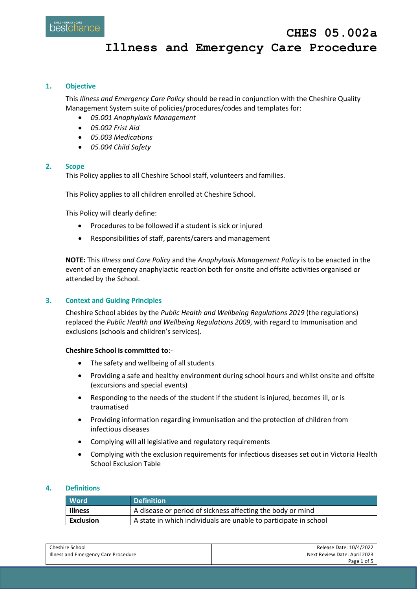## **1. Objective**

This *Illness and Emergency Care Policy* should be read in conjunction with the Cheshire Quality Management System suite of policies/procedures/codes and templates for:

- *05.001 Anaphylaxis Management*
- *05.002 Frist Aid*
- *05.003 Medications*
- *05.004 Child Safety*

### **2. Scope**

This Policy applies to all Cheshire School staff, volunteers and families.

This Policy applies to all children enrolled at Cheshire School.

This Policy will clearly define:

- Procedures to be followed if a student is sick or injured
- Responsibilities of staff, parents/carers and management

**NOTE:** This *Illness and Care Policy* and the *Anaphylaxis Management Policy* is to be enacted in the event of an emergency anaphylactic reaction both for onsite and offsite activities organised or attended by the School.

# **3. Context and Guiding Principles**

Cheshire School abides by the *Public Health and Wellbeing Regulations 2019* (the regulations) replaced the *Public Health and Wellbeing Regulations 2009*, with regard to Immunisation and exclusions (schools and children's services).

### **Cheshire School is committed to**:-

- The safety and wellbeing of all students
- Providing a safe and healthy environment during school hours and whilst onsite and offsite (excursions and special events)
- Responding to the needs of the student if the student is injured, becomes ill, or is traumatised
- Providing information regarding immunisation and the protection of children from infectious diseases
- Complying will all legislative and regulatory requirements
- Complying with the exclusion requirements for infectious diseases set out in Victoria Health School Exclusion Table

## **4. Definitions**

| <b>Word</b>    | <b>Definition</b>                                                |
|----------------|------------------------------------------------------------------|
| <b>Illness</b> | A disease or period of sickness affecting the body or mind       |
| Exclusion      | A state in which individuals are unable to participate in school |

| Cheshire School                      | Release Date: 10/4/2022      |
|--------------------------------------|------------------------------|
| Illness and Emergency Care Procedure | Next Review Date: April 2023 |
|                                      | Page 1 of 5                  |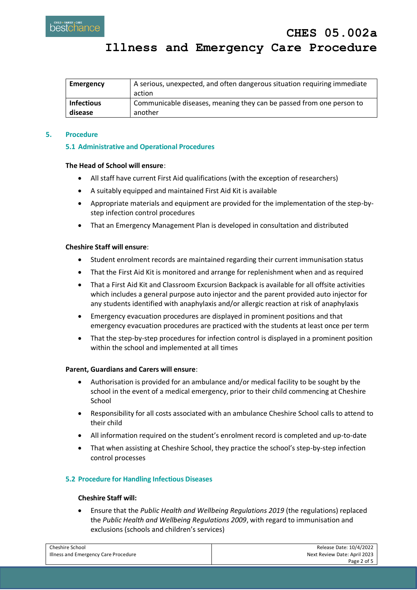| Emergency         | A serious, unexpected, and often dangerous situation requiring immediate |
|-------------------|--------------------------------------------------------------------------|
|                   | action                                                                   |
| <b>Infectious</b> | Communicable diseases, meaning they can be passed from one person to     |
| disease           | another                                                                  |

# **5. Procedure**

# **5.1 Administrative and Operational Procedures**

# **The Head of School will ensure**:

- All staff have current First Aid qualifications (with the exception of researchers)
- A suitably equipped and maintained First Aid Kit is available
- Appropriate materials and equipment are provided for the implementation of the step-bystep infection control procedures
- That an Emergency Management Plan is developed in consultation and distributed

# **Cheshire Staff will ensure**:

- Student enrolment records are maintained regarding their current immunisation status
- That the First Aid Kit is monitored and arrange for replenishment when and as required
- That a First Aid Kit and Classroom Excursion Backpack is available for all offsite activities which includes a general purpose auto injector and the parent provided auto injector for any students identified with anaphylaxis and/or allergic reaction at risk of anaphylaxis
- Emergency evacuation procedures are displayed in prominent positions and that emergency evacuation procedures are practiced with the students at least once per term
- That the step-by-step procedures for infection control is displayed in a prominent position within the school and implemented at all times

# **Parent, Guardians and Carers will ensure**:

- Authorisation is provided for an ambulance and/or medical facility to be sought by the school in the event of a medical emergency, prior to their child commencing at Cheshire School
- Responsibility for all costs associated with an ambulance Cheshire School calls to attend to their child
- All information required on the student's enrolment record is completed and up-to-date
- That when assisting at Cheshire School, they practice the school's step-by-step infection control processes

# **5.2 Procedure for Handling Infectious Diseases**

# **Cheshire Staff will:**

 Ensure that the *Public Health and Wellbeing Regulations 2019* (the regulations) replaced the *Public Health and Wellbeing Regulations 2009*, with regard to immunisation and exclusions (schools and children's services)

| Cheshire School                      | Release Date: 10/4/2022      |
|--------------------------------------|------------------------------|
| Illness and Emergency Care Procedure | Next Review Date: April 2023 |
|                                      | Page 2 of 5                  |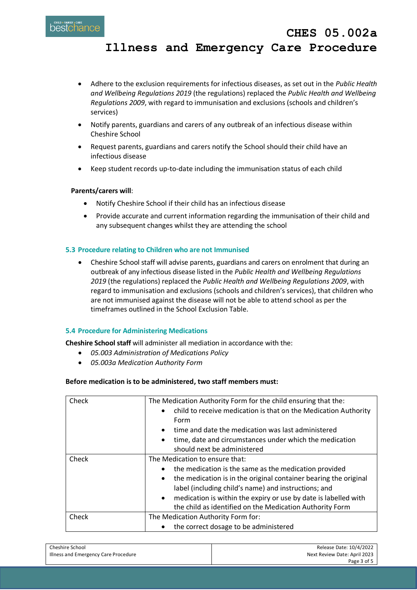- Adhere to the exclusion requirements for infectious diseases, as set out in the *Public Health and Wellbeing Regulations 2019* (the regulations) replaced the *Public Health and Wellbeing Regulations 2009*, with regard to immunisation and exclusions (schools and children's services)
- Notify parents, guardians and carers of any outbreak of an infectious disease within Cheshire School
- Request parents, guardians and carers notify the School should their child have an infectious disease
- Keep student records up-to-date including the immunisation status of each child

# **Parents/carers will**:

- Notify Cheshire School if their child has an infectious disease
- Provide accurate and current information regarding the immunisation of their child and any subsequent changes whilst they are attending the school

# **5.3 Procedure relating to Children who are not Immunised**

 Cheshire School staff will advise parents, guardians and carers on enrolment that during an outbreak of any infectious disease listed in the *Public Health and Wellbeing Regulations 2019* (the regulations) replaced the *Public Health and Wellbeing Regulations 2009*, with regard to immunisation and exclusions (schools and children's services), that children who are not immunised against the disease will not be able to attend school as per the timeframes outlined in the School Exclusion Table.

# **5.4 Procedure for Administering Medications**

**Cheshire School staff** will administer all mediation in accordance with the:

- *05.003 Administration of Medications Policy*
- *05.003a Medication Authority Form*

# **Before medication is to be administered, two staff members must:**

| Check | The Medication Authority Form for the child ensuring that the:<br>child to receive medication is that on the Medication Authority<br>$\bullet$<br>Form<br>time and date the medication was last administered<br>$\bullet$<br>time, date and circumstances under which the medication<br>$\bullet$<br>should next be administered                                                  |  |
|-------|-----------------------------------------------------------------------------------------------------------------------------------------------------------------------------------------------------------------------------------------------------------------------------------------------------------------------------------------------------------------------------------|--|
| Check | The Medication to ensure that:<br>the medication is the same as the medication provided<br>٠<br>the medication is in the original container bearing the original<br>$\bullet$<br>label (including child's name) and instructions; and<br>medication is within the expiry or use by date is labelled with<br>$\bullet$<br>the child as identified on the Medication Authority Form |  |
| Check | The Medication Authority Form for:                                                                                                                                                                                                                                                                                                                                                |  |
|       | the correct dosage to be administered                                                                                                                                                                                                                                                                                                                                             |  |

| Cheshire School                      | Release Date: 10/4/2022      |
|--------------------------------------|------------------------------|
| Illness and Emergency Care Procedure | Next Review Date: April 2023 |
|                                      | Page 3 of 5                  |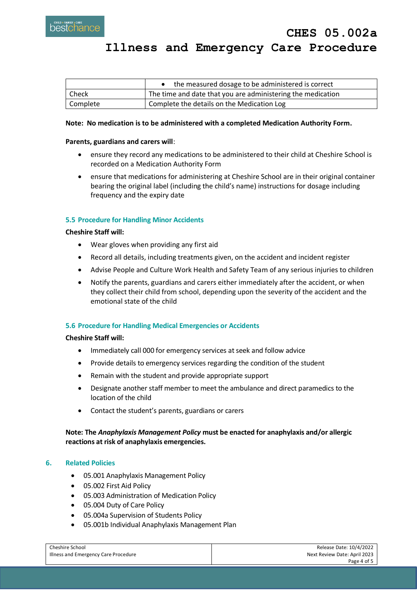|          | the measured dosage to be administered is correct           |
|----------|-------------------------------------------------------------|
| l Check  | The time and date that you are administering the medication |
| Complete | Complete the details on the Medication Log                  |

## **Note: No medication is to be administered with a completed Medication Authority Form.**

#### **Parents, guardians and carers will**:

- ensure they record any medications to be administered to their child at Cheshire School is recorded on a Medication Authority Form
- ensure that medications for administering at Cheshire School are in their original container bearing the original label (including the child's name) instructions for dosage including frequency and the expiry date

### **5.5 Procedure for Handling Minor Accidents**

### **Cheshire Staff will:**

- Wear gloves when providing any first aid
- Record all details, including treatments given, on the accident and incident register
- Advise People and Culture Work Health and Safety Team of any serious injuries to children
- Notify the parents, guardians and carers either immediately after the accident, or when they collect their child from school, depending upon the severity of the accident and the emotional state of the child

# **5.6 Procedure for Handling Medical Emergencies or Accidents**

#### **Cheshire Staff will:**

- Immediately call 000 for emergency services at seek and follow advice
- Provide details to emergency services regarding the condition of the student
- Remain with the student and provide appropriate support
- Designate another staff member to meet the ambulance and direct paramedics to the location of the child
- Contact the student's parents, guardians or carers

# **Note: The** *Anaphylaxis Management Policy* **must be enacted for anaphylaxis and/or allergic reactions at risk of anaphylaxis emergencies.**

# **6. Related Policies**

- 05.001 Anaphylaxis Management Policy
- 05.002 First Aid Policy
- 05.003 Administration of Medication Policy
- 05.004 Duty of Care Policy
- 05.004a Supervision of Students Policy
- 05.001b Individual Anaphylaxis Management Plan

| Cheshire School                      | Release Date: 10/4/2022      |
|--------------------------------------|------------------------------|
| Illness and Emergency Care Procedure | Next Review Date: April 2023 |
|                                      | Page 4 of 5                  |